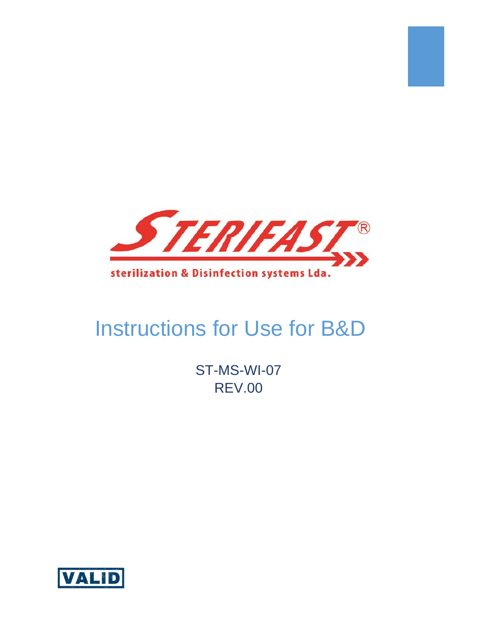

# Instructions for Use for B&D

ST-MS-WI-07 REV.00

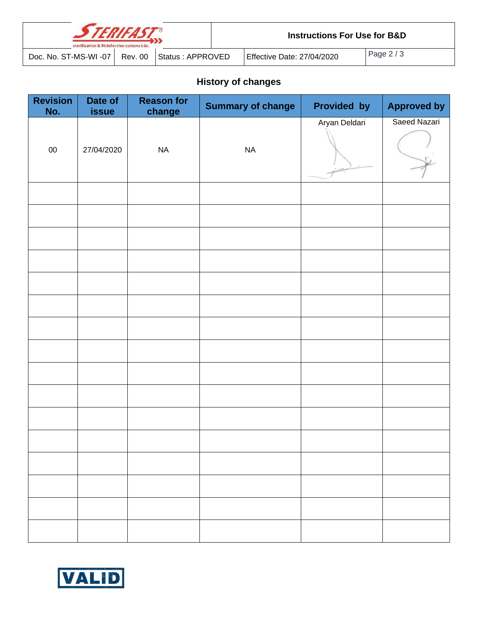| <b>STERIFAST®</b><br>sterilization & Disinfection systems Lda. |         |                  |  | <b>Instructions For Use for B&amp;D</b> |            |  |  |
|----------------------------------------------------------------|---------|------------------|--|-----------------------------------------|------------|--|--|
| Doc. No. ST-MS-WI -07                                          | Rev. 00 | Status: APPROVED |  | Effective Date: 27/04/2020              | Page $2/3$ |  |  |

# **History of changes**

| <b>Revision</b><br>No. | Date of<br>issue | <b>Reason for</b><br>change | <b>Summary of change</b> | Provided by   | <b>Approved by</b> |
|------------------------|------------------|-----------------------------|--------------------------|---------------|--------------------|
| $00\,$                 | 27/04/2020       | <b>NA</b>                   | $\sf NA$                 | Aryan Deldari | Saeed Nazari       |
|                        |                  |                             |                          |               |                    |
|                        |                  |                             |                          |               |                    |
|                        |                  |                             |                          |               |                    |
|                        |                  |                             |                          |               |                    |
|                        |                  |                             |                          |               |                    |
|                        |                  |                             |                          |               |                    |
|                        |                  |                             |                          |               |                    |
|                        |                  |                             |                          |               |                    |
|                        |                  |                             |                          |               |                    |
|                        |                  |                             |                          |               |                    |
|                        |                  |                             |                          |               |                    |
|                        |                  |                             |                          |               |                    |
|                        |                  |                             |                          |               |                    |
|                        |                  |                             |                          |               |                    |
|                        |                  |                             |                          |               |                    |
|                        |                  |                             |                          |               |                    |